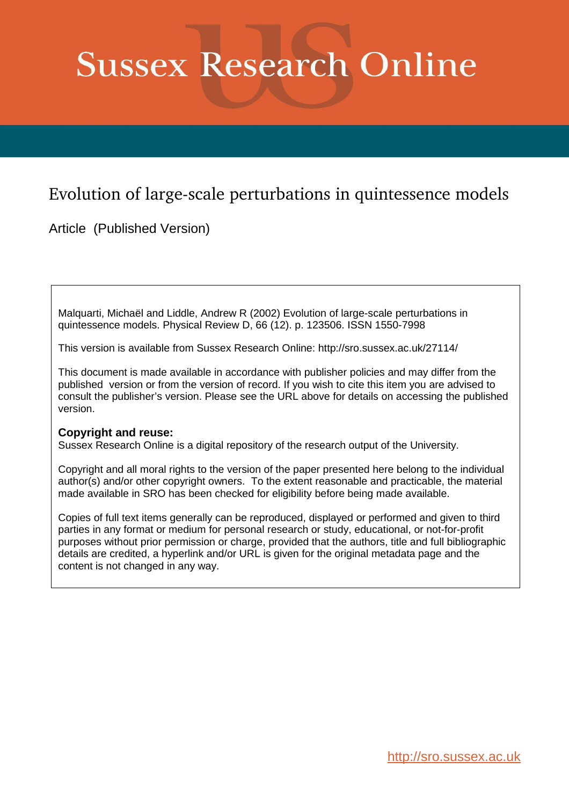# **Sussex Research Online**

## Evolution of large-scale perturbations in quintessence models

Article (Published Version)

Malquarti, Michaël and Liddle, Andrew R (2002) Evolution of large-scale perturbations in quintessence models. Physical Review D, 66 (12). p. 123506. ISSN 1550-7998

This version is available from Sussex Research Online: http://sro.sussex.ac.uk/27114/

This document is made available in accordance with publisher policies and may differ from the published version or from the version of record. If you wish to cite this item you are advised to consult the publisher's version. Please see the URL above for details on accessing the published version.

### **Copyright and reuse:**

Sussex Research Online is a digital repository of the research output of the University.

Copyright and all moral rights to the version of the paper presented here belong to the individual author(s) and/or other copyright owners. To the extent reasonable and practicable, the material made available in SRO has been checked for eligibility before being made available.

Copies of full text items generally can be reproduced, displayed or performed and given to third parties in any format or medium for personal research or study, educational, or not-for-profit purposes without prior permission or charge, provided that the authors, title and full bibliographic details are credited, a hyperlink and/or URL is given for the original metadata page and the content is not changed in any way.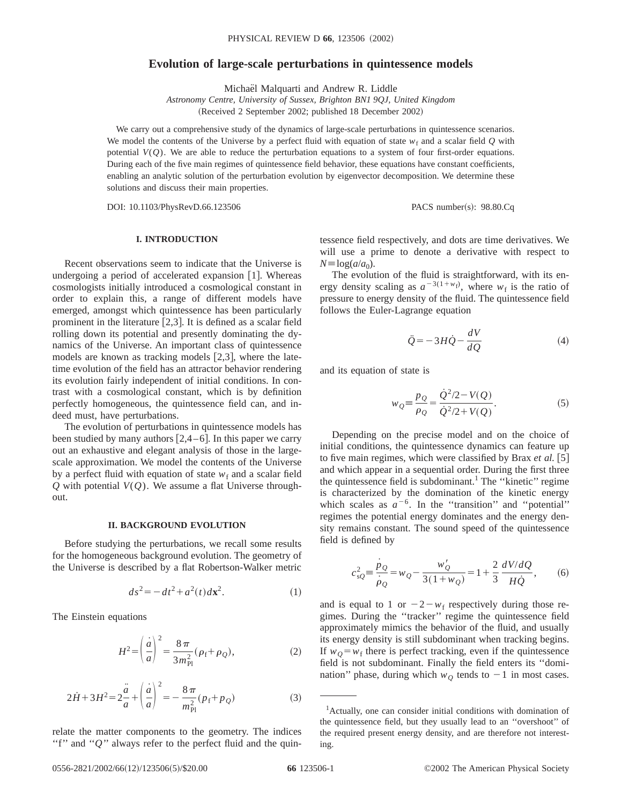#### **Evolution of large-scale perturbations in quintessence models**

Michaël Malquarti and Andrew R. Liddle

*Astronomy Centre, University of Sussex, Brighton BN1 9QJ, United Kingdom* (Received 2 September 2002; published 18 December 2002)

We carry out a comprehensive study of the dynamics of large-scale perturbations in quintessence scenarios. We model the contents of the Universe by a perfect fluid with equation of state  $w_f$  and a scalar field *Q* with potential  $V(Q)$ . We are able to reduce the perturbation equations to a system of four first-order equations. During each of the five main regimes of quintessence field behavior, these equations have constant coefficients, enabling an analytic solution of the perturbation evolution by eigenvector decomposition. We determine these solutions and discuss their main properties.

DOI: 10.1103/PhysRevD.66.123506 PACS number(s): 98.80.Cq

#### **I. INTRODUCTION**

Recent observations seem to indicate that the Universe is undergoing a period of accelerated expansion  $[1]$ . Whereas cosmologists initially introduced a cosmological constant in order to explain this, a range of different models have emerged, amongst which quintessence has been particularly prominent in the literature  $[2,3]$ . It is defined as a scalar field rolling down its potential and presently dominating the dynamics of the Universe. An important class of quintessence models are known as tracking models  $[2,3]$ , where the latetime evolution of the field has an attractor behavior rendering its evolution fairly independent of initial conditions. In contrast with a cosmological constant, which is by definition perfectly homogeneous, the quintessence field can, and indeed must, have perturbations.

The evolution of perturbations in quintessence models has been studied by many authors  $[2,4-6]$ . In this paper we carry out an exhaustive and elegant analysis of those in the largescale approximation. We model the contents of the Universe by a perfect fluid with equation of state  $w_f$  and a scalar field *Q* with potential *V*(*Q*). We assume a flat Universe throughout.

#### **II. BACKGROUND EVOLUTION**

Before studying the perturbations, we recall some results for the homogeneous background evolution. The geometry of the Universe is described by a flat Robertson-Walker metric

$$
ds^2 = -dt^2 + a^2(t)dx^2.
$$
 (1)

The Einstein equations

$$
H^{2} = \left(\frac{\dot{a}}{a}\right)^{2} = \frac{8\,\pi}{3\,m_{\rm Pl}^{2}}(\rho_{\rm f} + \rho_{Q}),\tag{2}
$$

$$
2\dot{H} + 3H^2 = 2\frac{\ddot{a}}{a} + \left(\frac{\dot{a}}{a}\right)^2 = -\frac{8\pi}{m_{\rm Pl}^2}(p_{\rm f} + p_{\rm Q})\tag{3}
$$

relate the matter components to the geometry. The indices "f" and "*Q*" always refer to the perfect fluid and the quintessence field respectively, and dots are time derivatives. We will use a prime to denote a derivative with respect to  $N \equiv \log(a/a_0)$ .

The evolution of the fluid is straightforward, with its energy density scaling as  $a^{-3(1+w_f)}$ , where  $w_f$  is the ratio of pressure to energy density of the fluid. The quintessence field follows the Euler-Lagrange equation

$$
\ddot{Q} = -3H\dot{Q} - \frac{dV}{dQ} \tag{4}
$$

and its equation of state is

$$
w_Q = \frac{p_Q}{\rho_Q} = \frac{Q^2/2 - V(Q)}{Q^2/2 + V(Q)}.
$$
 (5)

Depending on the precise model and on the choice of initial conditions, the quintessence dynamics can feature up to five main regimes, which were classified by Brax *et al.* [5] and which appear in a sequential order. During the first three the quintessence field is subdominant.<sup>1</sup> The "kinetic" regime is characterized by the domination of the kinetic energy which scales as  $a^{-6}$ . In the "transition" and "potential" regimes the potential energy dominates and the energy density remains constant. The sound speed of the quintessence field is defined by

$$
c_{sQ}^{2} \equiv \frac{\dot{p}_Q}{\dot{\rho}_Q} = w_Q - \frac{w'_Q}{3(1 + w_Q)} = 1 + \frac{2}{3} \frac{dV/dQ}{HQ},
$$
 (6)

and is equal to 1 or  $-2-w_f$  respectively during those regimes. During the ''tracker'' regime the quintessence field approximately mimics the behavior of the fluid, and usually its energy density is still subdominant when tracking begins. If  $w_Q = w_f$  there is perfect tracking, even if the quintessence field is not subdominant. Finally the field enters its ''domination'' phase, during which  $w<sub>O</sub>$  tends to  $-1$  in most cases.

<sup>&</sup>lt;sup>1</sup>Actually, one can consider initial conditions with domination of the quintessence field, but they usually lead to an ''overshoot'' of the required present energy density, and are therefore not interesting.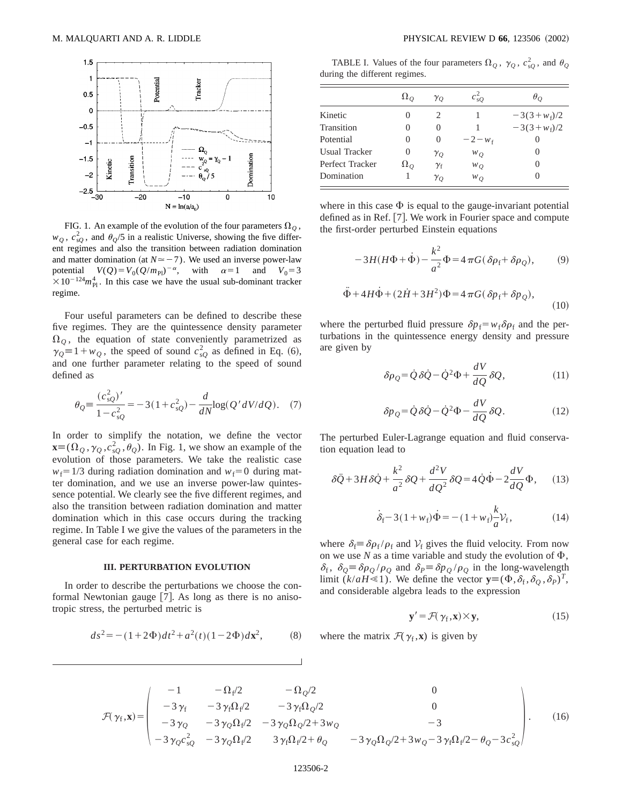

FIG. 1. An example of the evolution of the four parameters  $\Omega$ <sub>O</sub>,  $w_Q$ ,  $c_{sQ}^2$ , and  $\theta_Q/5$  in a realistic Universe, showing the five different regimes and also the transition between radiation domination and matter domination (at  $N \approx -7$ ). We used an inverse power-law potential  $V(Q) = V_0 (Q/m_{\text{Pl}})^{-\alpha}$ , with  $\alpha = 1$  and  $V_0 = 3$  $\times 10^{-124} m_{\rm Pl}^4$ . In this case we have the usual sub-dominant tracker regime.

Four useful parameters can be defined to describe these five regimes. They are the quintessence density parameter  $\Omega$ <sub>O</sub>, the equation of state conveniently parametrized as  $\gamma_{Q} = 1 + w_{Q}$ , the speed of sound  $c_{sQ}^2$  as defined in Eq. (6), and one further parameter relating to the speed of sound defined as

$$
\theta_{Q} = \frac{(c_{sQ}^{2})'}{1 - c_{sQ}^{2}} = -3(1 + c_{sQ}^{2}) - \frac{d}{dN} \log(Q'dV/dQ). \quad (7)
$$

In order to simplify the notation, we define the vector  $\mathbf{x}=(\Omega_Q, \gamma_Q, c_{sQ}^2, \theta_Q)$ . In Fig. 1, we show an example of the evolution of those parameters. We take the realistic case  $w_f$ =1/3 during radiation domination and  $w_f$ =0 during matter domination, and we use an inverse power-law quintessence potential. We clearly see the five different regimes, and also the transition between radiation domination and matter domination which in this case occurs during the tracking regime. In Table I we give the values of the parameters in the general case for each regime.

#### **III. PERTURBATION EVOLUTION**

In order to describe the perturbations we choose the conformal Newtonian gauge  $[7]$ . As long as there is no anisotropic stress, the perturbed metric is

$$
ds^{2} = -(1+2\Phi)dt^{2} + a^{2}(t)(1-2\Phi)d\mathbf{x}^{2},
$$
 (8)

TABLE I. Values of the four parameters  $\Omega_Q$ ,  $\gamma_Q$ ,  $c_{sQ}^2$ , and  $\theta_Q$ during the different regimes.

|                      | $\Omega$ <sub>O</sub> | $\gamma_{O}$     | $c_{s0}^2$ | $\theta_{O}$    |
|----------------------|-----------------------|------------------|------------|-----------------|
| Kinetic              | $\theta$              | 2                |            | $-3(3+w_{f})/2$ |
| Transition           | 0                     | $\mathbf{0}$     |            | $-3(3+w_f)/2$   |
| Potential            | 0                     | 0                | $-2 - w_f$ |                 |
| <b>Usual Tracker</b> | 0                     | $\gamma_{Q}$     | $W_O$      | $\mathbf{0}$    |
| Perfect Tracker      | $\Omega_{Q}$          | $\gamma_{\rm f}$ | $W_Q$      |                 |
| Domination           |                       | $\gamma_{O}$     | $W_Q$      |                 |

where in this case  $\Phi$  is equal to the gauge-invariant potential defined as in Ref. [7]. We work in Fourier space and compute the first-order perturbed Einstein equations

$$
-3H(H\Phi + \dot{\Phi}) - \frac{k^2}{a^2}\Phi = 4\pi G(\delta\rho_f + \delta\rho_Q),\tag{9}
$$

$$
\ddot{\Phi} + 4H\dot{\Phi} + (2\dot{H} + 3H^2)\Phi = 4\pi G(\delta p_f + \delta p_Q),\tag{10}
$$

where the perturbed fluid pressure  $\delta p_f = w_f \delta \rho_f$  and the perturbations in the quintessence energy density and pressure are given by

$$
\delta \rho_{Q} = \dot{Q} \,\delta \dot{Q} - \dot{Q}^{2} \Phi + \frac{dV}{dQ} \,\delta Q, \tag{11}
$$

$$
\delta p_{Q} = \dot{Q} \,\delta \dot{Q} - \dot{Q}^{2} \Phi - \frac{dV}{dQ} \,\delta Q. \tag{12}
$$

The perturbed Euler-Lagrange equation and fluid conservation equation lead to

$$
\delta \ddot{Q} + 3H \delta \dot{Q} + \frac{k^2}{a^2} \delta Q + \frac{d^2 V}{d Q^2} \delta Q = 4 \dot{Q} \dot{\Phi} - 2 \frac{dV}{d Q} \Phi, \quad (13)
$$

$$
\dot{\delta}_{\rm f} - 3(1 + w_{\rm f})\dot{\Phi} = -(1 + w_{\rm f})\frac{k}{a}\mathcal{V}_{\rm f},\tag{14}
$$

where  $\delta_f = \delta \rho_f / \rho_f$  and  $V_f$  gives the fluid velocity. From now on we use  $N$  as a time variable and study the evolution of  $\Phi$ ,  $\delta_f$ ,  $\delta_Q \equiv \delta \rho_Q / \rho_Q$  and  $\delta_P \equiv \delta p_Q / \rho_Q$  in the long-wavelength limit  $(k/aH \le 1)$ . We define the vector  $\mathbf{y} = (\Phi, \delta_f, \delta_Q, \delta_P)^T$ , and considerable algebra leads to the expression

$$
\mathbf{y}' = \mathcal{F}(\gamma_{\text{f}}, \mathbf{x}) \times \mathbf{y},\tag{15}
$$

where the matrix  $\mathcal{F}(\gamma_f, \mathbf{x})$  is given by

$$
\mathcal{F}(\gamma_{f}, \mathbf{x}) = \begin{pmatrix}\n-1 & -\Omega_{f}/2 & -\Omega_{Q}/2 & 0 \\
-3\gamma_{f} & -3\gamma_{f}\Omega_{f}/2 & -3\gamma_{f}\Omega_{Q}/2 & 0 \\
-3\gamma_{Q} & -3\gamma_{Q}\Omega_{f}/2 & -3\gamma_{Q}\Omega_{Q}/2 + 3w_{Q} & -3 \\
-3\gamma_{Q}c_{sQ}^{2} & -3\gamma_{Q}\Omega_{f}/2 & 3\gamma_{f}\Omega_{f}/2 + \theta_{Q} & -3\gamma_{Q}\Omega_{Q}/2 + 3w_{Q} - 3\gamma_{f}\Omega_{f}/2 - \theta_{Q} - 3c_{sQ}^{2}\n\end{pmatrix}.
$$
\n(16)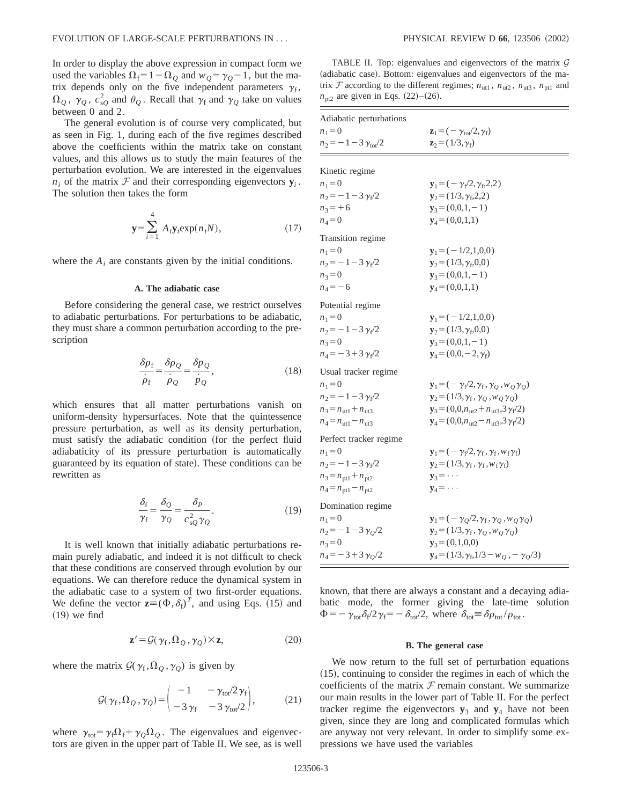In order to display the above expression in compact form we used the variables  $\Omega_f = 1 - \Omega_o$  and  $w_o = \gamma_o - 1$ , but the matrix depends only on the five independent parameters  $\gamma_f$ ,  $\Omega_Q$ ,  $\gamma_Q$ ,  $c_{sQ}^2$  and  $\theta_Q$ . Recall that  $\gamma_f$  and  $\gamma_Q$  take on values between 0 and 2.

The general evolution is of course very complicated, but as seen in Fig. 1, during each of the five regimes described above the coefficients within the matrix take on constant values, and this allows us to study the main features of the perturbation evolution. We are interested in the eigenvalues  $n_i$  of the matrix  $\mathcal F$  and their corresponding eigenvectors  $\mathbf y_i$ . The solution then takes the form

$$
\mathbf{y} = \sum_{i=1}^{4} A_i \mathbf{y}_i \exp(n_i N), \qquad (17)
$$

where the  $A_i$  are constants given by the initial conditions.

#### **A. The adiabatic case**

Before considering the general case, we restrict ourselves to adiabatic perturbations. For perturbations to be adiabatic, they must share a common perturbation according to the prescription

$$
\frac{\delta \rho_f}{\dot{\rho}_f} = \frac{\delta \rho_Q}{\dot{\rho}_Q} = \frac{\delta p_Q}{\dot{p}_Q},\tag{18}
$$

which ensures that all matter perturbations vanish on uniform-density hypersurfaces. Note that the quintessence pressure perturbation, as well as its density perturbation, must satisfy the adiabatic condition (for the perfect fluid adiabaticity of its pressure perturbation is automatically guaranteed by its equation of state). These conditions can be rewritten as

$$
\frac{\delta_{\rm f}}{\gamma_{\rm f}} = \frac{\delta_{Q}}{\gamma_{Q}} = \frac{\delta_{P}}{c_{\rm sQ}^2 \gamma_{Q}}.\tag{19}
$$

It is well known that initially adiabatic perturbations remain purely adiabatic, and indeed it is not difficult to check that these conditions are conserved through evolution by our equations. We can therefore reduce the dynamical system in the adiabatic case to a system of two first-order equations. We define the vector  $\mathbf{z} = (\Phi, \delta_f)^T$ , and using Eqs. (15) and  $(19)$  we find

$$
\mathbf{z}' = \mathcal{G}(\gamma_f, \Omega_Q, \gamma_Q) \times \mathbf{z},\tag{20}
$$

where the matrix  $\mathcal{G}(\gamma_f, \Omega_Q, \gamma_Q)$  is given by

$$
\mathcal{G}(\gamma_f, \Omega_Q, \gamma_Q) = \begin{pmatrix} -1 & -\gamma_{\text{tot}}/2\gamma_f \\ -3\gamma_f & -3\gamma_{\text{tot}}/2 \end{pmatrix}, \qquad (21)
$$

where  $\gamma_{\text{tot}} = \gamma_f \Omega_f + \gamma_Q \Omega_Q$ . The eigenvalues and eigenvectors are given in the upper part of Table II. We see, as is well

TABLE II. Top: eigenvalues and eigenvectors of the matrix  $G$ (adiabatic case). Bottom: eigenvalues and eigenvectors of the matrix  $F$  according to the different regimes;  $n_{\text{ut1}}$ ,  $n_{\text{ut2}}$ ,  $n_{\text{ut3}}$ ,  $n_{\text{pt1}}$  and  $n_{\text{pt2}}$  are given in Eqs.  $(22)$ – $(26)$ .

| Adiabatic perturbations                 |                                                                        |  |  |  |
|-----------------------------------------|------------------------------------------------------------------------|--|--|--|
| $n_1 = 0$                               | $\mathbf{z}_1 = (-\gamma_{\text{tot}}/2, \gamma_{\text{f}})$           |  |  |  |
| $n_2 = -1 - 3 \gamma_{\text{tot}}/2$    | $z_2 = (1/3, \gamma_f)$                                                |  |  |  |
| Kinetic regime                          |                                                                        |  |  |  |
| $n_1 = 0$                               | $y_1 = (-\gamma_f/2, \gamma_f, 2, 2)$                                  |  |  |  |
| $n_2 = -1 - 3 \gamma_f/2$               | $y_2 = (1/3, \gamma_f, 2, 2)$                                          |  |  |  |
| $n_3 = +6$                              | $y_3 = (0,0,1,-1)$                                                     |  |  |  |
| $n_4 = 0$                               | $y_4 = (0,0,1,1)$                                                      |  |  |  |
|                                         |                                                                        |  |  |  |
| Transition regime                       |                                                                        |  |  |  |
| $n_1 = 0$                               | $y_1 = (-1/2, 1, 0, 0)$                                                |  |  |  |
| $n_2 = -1 - 3 \gamma_f/2$               | $y_2 = (1/3, \gamma_f, 0, 0)$                                          |  |  |  |
| $n_3 = 0$                               | $y_3 = (0,0,1,-1)$                                                     |  |  |  |
| $n_4 = -6$                              | $y_4 = (0,0,1,1)$                                                      |  |  |  |
| Potential regime                        |                                                                        |  |  |  |
| $n_1 = 0$                               | $y_1 = (-1/2, 1, 0, 0)$                                                |  |  |  |
| $n_2 = -1 - 3 \gamma_f/2$               | $y_2 = (1/3, \gamma_f, 0, 0)$                                          |  |  |  |
| $n_3 = 0$                               | $y_3 = (0,0,1,-1)$                                                     |  |  |  |
| $n_4 = -3 + 3 \gamma_f/2$               | $y_4 = (0,0,-2,\gamma_f)$                                              |  |  |  |
| Usual tracker regime                    |                                                                        |  |  |  |
| $n_1 = 0$                               | $\mathbf{y}_1 = (-\gamma_f/2, \gamma_f, \gamma_Q, w_Q \gamma_Q)$       |  |  |  |
| $n_2 = -1 - 3 \gamma_f/2$               | $\mathbf{y}_2 = (1/3, \gamma_f, \gamma_Q, w_Q \gamma_Q)$               |  |  |  |
| $n_3 = n_{\text{ut1}} + n_{\text{ut3}}$ | $y_3 = (0, 0, n_{ut2} + n_{ut3}, 3\gamma_f/2)$                         |  |  |  |
| $n_4 = n_{\text{ut1}} - n_{\text{ut3}}$ | ${\bf y}_4 = (0,0,n_{\text{ut2}}-n_{\text{ut3}},3\gamma_{\text{f}}/2)$ |  |  |  |
| Perfect tracker regime                  |                                                                        |  |  |  |
| $n_1 = 0$                               | $\mathbf{y}_1 = (-\gamma_f/2, \gamma_f, \gamma_f, w_f \gamma_f)$       |  |  |  |
| $n_2 = -1 - 3 \gamma_f/2$               | $y_2 = (1/3, \gamma_f, \gamma_f, w_f \gamma_f)$                        |  |  |  |
| $n_3 = n_{pt1} + n_{pt2}$               | $y_3 = \cdots$                                                         |  |  |  |
| $n_4 = n_{pt1} - n_{pt2}$               | $y_4 = \cdots$                                                         |  |  |  |
| Domination regime                       |                                                                        |  |  |  |
| $n_1 = 0$                               | $\mathbf{y}_1 = (-\gamma_O/2, \gamma_f, \gamma_O, w_O \gamma_O)$       |  |  |  |
| $n_2 = -1 - 3 \gamma_O/2$               | $y_2 = (1/3, \gamma_f, \gamma_O, w_O \gamma_O)$                        |  |  |  |
| $n_3 = 0$                               | $y_3 = (0,1,0,0)$                                                      |  |  |  |
| $n_4 = -3 + 3 \gamma_O/2$               | $y_4 = (1/3, \gamma_f, 1/3 - w_o, -\gamma_o/3)$                        |  |  |  |
|                                         |                                                                        |  |  |  |

known, that there are always a constant and a decaying adiabatic mode, the former giving the late-time solution  $\Phi = -\gamma_{\text{tot}}\delta_{\text{f}}/2\gamma_{\text{f}} = -\delta_{\text{tot}}/2$ , where  $\delta_{\text{tot}} \equiv \delta \rho_{\text{tot}}/\rho_{\text{tot}}$ .

#### **B. The general case**

We now return to the full set of perturbation equations  $(15)$ , continuing to consider the regimes in each of which the coefficients of the matrix  $F$  remain constant. We summarize our main results in the lower part of Table II. For the perfect tracker regime the eigenvectors  $y_3$  and  $y_4$  have not been given, since they are long and complicated formulas which are anyway not very relevant. In order to simplify some expressions we have used the variables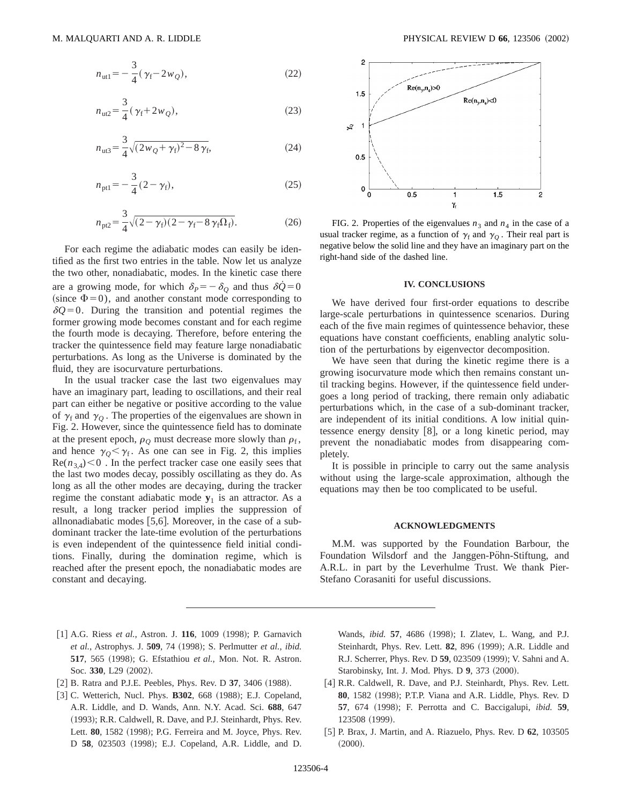$$
n_{\text{ut}1} = -\frac{3}{4}(\gamma_f - 2w_Q),\tag{22}
$$

$$
n_{\rm ut2} = \frac{3}{4} (\gamma_{\rm f} + 2w_Q), \tag{23}
$$

$$
n_{\rm ut3} = \frac{3}{4} \sqrt{(2w_Q + \gamma_f)^2 - 8\gamma_f},\tag{24}
$$

$$
n_{\text{pt1}} = -\frac{3}{4}(2 - \gamma_{\text{f}}),\tag{25}
$$

$$
n_{\text{p12}} = \frac{3}{4} \sqrt{(2 - \gamma_f)(2 - \gamma_f - 8 \gamma_f \Omega_f)}.
$$
 (26)

For each regime the adiabatic modes can easily be identified as the first two entries in the table. Now let us analyze the two other, nonadiabatic, modes. In the kinetic case there are a growing mode, for which  $\delta_P = -\delta_Q$  and thus  $\delta \dot{Q} = 0$ (since  $\Phi$ =0), and another constant mode corresponding to  $\delta Q = 0$ . During the transition and potential regimes the former growing mode becomes constant and for each regime the fourth mode is decaying. Therefore, before entering the tracker the quintessence field may feature large nonadiabatic perturbations. As long as the Universe is dominated by the fluid, they are isocurvature perturbations.

In the usual tracker case the last two eigenvalues may have an imaginary part, leading to oscillations, and their real part can either be negative or positive according to the value of  $\gamma_f$  and  $\gamma_o$ . The properties of the eigenvalues are shown in Fig. 2. However, since the quintessence field has to dominate at the present epoch,  $\rho_Q$  must decrease more slowly than  $\rho_f$ , and hence  $\gamma_{Q} < \gamma_{f}$ . As one can see in Fig. 2, this implies  $\text{Re}(n_{3,4})$  < 0. In the perfect tracker case one easily sees that the last two modes decay, possibly oscillating as they do. As long as all the other modes are decaying, during the tracker regime the constant adiabatic mode  $y_1$  is an attractor. As a result, a long tracker period implies the suppression of allnonadiabatic modes  $[5,6]$ . Moreover, in the case of a subdominant tracker the late-time evolution of the perturbations is even independent of the quintessence field initial conditions. Finally, during the domination regime, which is reached after the present epoch, the nonadiabatic modes are constant and decaying.



FIG. 2. Properties of the eigenvalues  $n_3$  and  $n_4$  in the case of a usual tracker regime, as a function of  $\gamma_f$  and  $\gamma_Q$ . Their real part is negative below the solid line and they have an imaginary part on the right-hand side of the dashed line.

#### **IV. CONCLUSIONS**

We have derived four first-order equations to describe large-scale perturbations in quintessence scenarios. During each of the five main regimes of quintessence behavior, these equations have constant coefficients, enabling analytic solution of the perturbations by eigenvector decomposition.

We have seen that during the kinetic regime there is a growing isocurvature mode which then remains constant until tracking begins. However, if the quintessence field undergoes a long period of tracking, there remain only adiabatic perturbations which, in the case of a sub-dominant tracker, are independent of its initial conditions. A low initial quintessence energy density  $|8|$ , or a long kinetic period, may prevent the nonadiabatic modes from disappearing completely.

It is possible in principle to carry out the same analysis without using the large-scale approximation, although the equations may then be too complicated to be useful.

#### **ACKNOWLEDGMENTS**

M.M. was supported by the Foundation Barbour, the Foundation Wilsdorf and the Janggen-Pöhn-Stiftung, and A.R.L. in part by the Leverhulme Trust. We thank Pier-Stefano Corasaniti for useful discussions.

- [1] A.G. Riess *et al.*, Astron. J. **116**, 1009 (1998); P. Garnavich *et al.*, Astrophys. J. **509**, 74 ~1998!; S. Perlmutter *et al.*, *ibid.* **517**, 565 (1998); G. Efstathiou et al., Mon. Not. R. Astron. Soc. 330, L29 (2002).
- [2] B. Ratra and P.J.E. Peebles, Phys. Rev. D 37, 3406 (1988).
- [3] C. Wetterich, Nucl. Phys. **B302**, 668 (1988); E.J. Copeland, A.R. Liddle, and D. Wands, Ann. N.Y. Acad. Sci. **688**, 647 (1993); R.R. Caldwell, R. Dave, and P.J. Steinhardt, Phys. Rev. Lett. 80, 1582 (1998); P.G. Ferreira and M. Joyce, Phys. Rev. D 58, 023503 (1998); E.J. Copeland, A.R. Liddle, and D.

Wands, *ibid.* **57**, 4686 (1998); I. Zlatev, L. Wang, and P.J. Steinhardt, Phys. Rev. Lett. **82**, 896 (1999); A.R. Liddle and R.J. Scherrer, Phys. Rev. D 59, 023509 (1999); V. Sahni and A. Starobinsky, Int. J. Mod. Phys. D 9, 373 (2000).

- [4] R.R. Caldwell, R. Dave, and P.J. Steinhardt, Phys. Rev. Lett. **80**, 1582 (1998); P.T.P. Viana and A.R. Liddle, Phys. Rev. D **57**, 674 (1998); F. Perrotta and C. Baccigalupi, *ibid.* **59**, 123508 (1999).
- @5# P. Brax, J. Martin, and A. Riazuelo, Phys. Rev. D **62**, 103505  $(2000).$